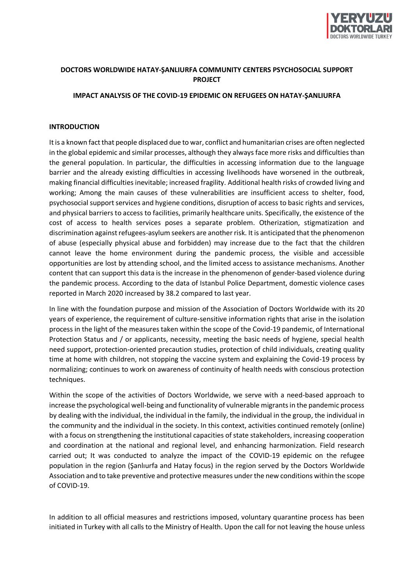

# **DOCTORS WORLDWIDE HATAY-ŞANLIURFA COMMUNITY CENTERS PSYCHOSOCIAL SUPPORT PROJECT**

## **IMPACT ANALYSIS OF THE COVID-19 EPIDEMIC ON REFUGEES ON HATAY-ŞANLIURFA**

## **INTRODUCTION**

It is a known fact that people displaced due to war, conflict and humanitarian crises are often neglected in the global epidemic and similar processes, although they always face more risks and difficulties than the general population. In particular, the difficulties in accessing information due to the language barrier and the already existing difficulties in accessing livelihoods have worsened in the outbreak, making financial difficulties inevitable; increased fragility. Additional health risks of crowded living and working; Among the main causes of these vulnerabilities are insufficient access to shelter, food, psychosocial support services and hygiene conditions, disruption of access to basic rights and services, and physical barriers to access to facilities, primarily healthcare units. Specifically, the existence of the cost of access to health services poses a separate problem. Otherization, stigmatization and discrimination against refugees-asylum seekers are another risk. It is anticipated that the phenomenon of abuse (especially physical abuse and forbidden) may increase due to the fact that the children cannot leave the home environment during the pandemic process, the visible and accessible opportunities are lost by attending school, and the limited access to assistance mechanisms. Another content that can support this data is the increase in the phenomenon of gender-based violence during the pandemic process. According to the data of Istanbul Police Department, domestic violence cases reported in March 2020 increased by 38.2 compared to last year.

In line with the foundation purpose and mission of the Association of Doctors Worldwide with its 20 years of experience, the requirement of culture-sensitive information rights that arise in the isolation process in the light of the measures taken within the scope of the Covid-19 pandemic, of International Protection Status and / or applicants, necessity, meeting the basic needs of hygiene, special health need support, protection-oriented precaution studies, protection of child individuals, creating quality time at home with children, not stopping the vaccine system and explaining the Covid-19 process by normalizing; continues to work on awareness of continuity of health needs with conscious protection techniques.

Within the scope of the activities of Doctors Worldwide, we serve with a need-based approach to increase the psychological well-being and functionality of vulnerable migrants in the pandemic process by dealing with the individual, the individual in the family, the individual in the group, the individual in the community and the individual in the society. In this context, activities continued remotely (online) with a focus on strengthening the institutional capacities of state stakeholders, increasing cooperation and coordination at the national and regional level, and enhancing harmonization. Field research carried out; It was conducted to analyze the impact of the COVID-19 epidemic on the refugee population in the region (Şanlıurfa and Hatay focus) in the region served by the Doctors Worldwide Association and to take preventive and protective measures under the new conditions within the scope of COVID-19.

In addition to all official measures and restrictions imposed, voluntary quarantine process has been initiated in Turkey with all calls to the Ministry of Health. Upon the call for not leaving the house unless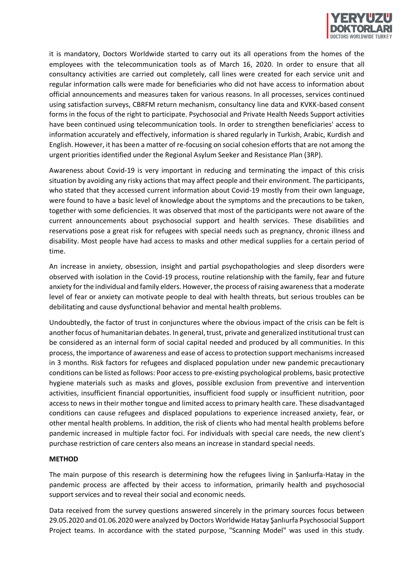

it is mandatory, Doctors Worldwide started to carry out its all operations from the homes of the employees with the telecommunication tools as of March 16, 2020. In order to ensure that all consultancy activities are carried out completely, call lines were created for each service unit and regular information calls were made for beneficiaries who did not have access to information about official announcements and measures taken for various reasons. In all processes, services continued using satisfaction surveys, CBRFM return mechanism, consultancy line data and KVKK-based consent forms in the focus of the right to participate. Psychosocial and Private Health Needs Support activities have been continued using telecommunication tools. In order to strengthen beneficiaries' access to information accurately and effectively, information is shared regularly in Turkish, Arabic, Kurdish and English. However, it has been a matter of re-focusing on social cohesion efforts that are not among the urgent priorities identified under the Regional Asylum Seeker and Resistance Plan (3RP).

Awareness about Covid-19 is very important in reducing and terminating the impact of this crisis situation by avoiding any risky actions that may affect people and their environment. The participants, who stated that they accessed current information about Covid-19 mostly from their own language, were found to have a basic level of knowledge about the symptoms and the precautions to be taken, together with some deficiencies. It was observed that most of the participants were not aware of the current announcements about psychosocial support and health services. These disabilities and reservations pose a great risk for refugees with special needs such as pregnancy, chronic illness and disability. Most people have had access to masks and other medical supplies for a certain period of time.

An increase in anxiety, obsession, insight and partial psychopathologies and sleep disorders were observed with isolation in the Covid-19 process, routine relationship with the family, fear and future anxiety for the individual and family elders. However, the process of raising awareness that a moderate level of fear or anxiety can motivate people to deal with health threats, but serious troubles can be debilitating and cause dysfunctional behavior and mental health problems.

Undoubtedly, the factor of trust in conjunctures where the obvious impact of the crisis can be felt is another focus of humanitarian debates. In general, trust, private and generalized institutional trust can be considered as an internal form of social capital needed and produced by all communities. In this process, the importance of awareness and ease of access to protection support mechanisms increased in 3 months. Risk factors for refugees and displaced population under new pandemic precautionary conditions can be listed as follows: Poor access to pre-existing psychological problems, basic protective hygiene materials such as masks and gloves, possible exclusion from preventive and intervention activities, insufficient financial opportunities, insufficient food supply or insufficient nutrition, poor access to news in their mother tongue and limited access to primary health care. These disadvantaged conditions can cause refugees and displaced populations to experience increased anxiety, fear, or other mental health problems. In addition, the risk of clients who had mental health problems before pandemic increased in multiple factor foci. For individuals with special care needs, the new client's purchase restriction of care centers also means an increase in standard special needs.

## **METHOD**

The main purpose of this research is determining how the refugees living in Şanlıurfa-Hatay in the pandemic process are affected by their access to information, primarily health and psychosocial support services and to reveal their social and economic needs.

Data received from the survey questions answered sincerely in the primary sources focus between 29.05.2020 and 01.06.2020 were analyzed by Doctors Worldwide Hatay Şanlıurfa Psychosocial Support Project teams. In accordance with the stated purpose, "Scanning Model" was used in this study.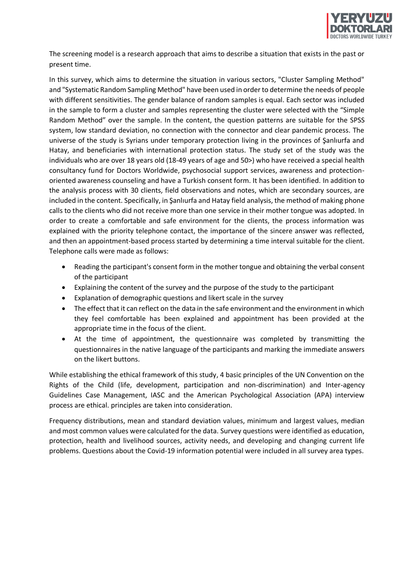

The screening model is a research approach that aims to describe a situation that exists in the past or present time.

In this survey, which aims to determine the situation in various sectors, "Cluster Sampling Method" and "Systematic Random Sampling Method" have been used in order to determine the needs of people with different sensitivities. The gender balance of random samples is equal. Each sector was included in the sample to form a cluster and samples representing the cluster were selected with the "Simple Random Method" over the sample. In the content, the question patterns are suitable for the SPSS system, low standard deviation, no connection with the connector and clear pandemic process. The universe of the study is Syrians under temporary protection living in the provinces of Şanlıurfa and Hatay, and beneficiaries with international protection status. The study set of the study was the individuals who are over 18 years old (18-49 years of age and 50>) who have received a special health consultancy fund for Doctors Worldwide, psychosocial support services, awareness and protectionoriented awareness counseling and have a Turkish consent form. It has been identified. In addition to the analysis process with 30 clients, field observations and notes, which are secondary sources, are included in the content. Specifically, in Şanlıurfa and Hatay field analysis, the method of making phone calls to the clients who did not receive more than one service in their mother tongue was adopted. In order to create a comfortable and safe environment for the clients, the process information was explained with the priority telephone contact, the importance of the sincere answer was reflected, and then an appointment-based process started by determining a time interval suitable for the client. Telephone calls were made as follows:

- Reading the participant's consent form in the mother tongue and obtaining the verbal consent of the participant
- Explaining the content of the survey and the purpose of the study to the participant
- Explanation of demographic questions and likert scale in the survey
- The effect that it can reflect on the data in the safe environment and the environment in which they feel comfortable has been explained and appointment has been provided at the appropriate time in the focus of the client.
- At the time of appointment, the questionnaire was completed by transmitting the questionnaires in the native language of the participants and marking the immediate answers on the likert buttons.

While establishing the ethical framework of this study, 4 basic principles of the UN Convention on the Rights of the Child (life, development, participation and non-discrimination) and Inter-agency Guidelines Case Management, IASC and the American Psychological Association (APA) interview process are ethical. principles are taken into consideration.

Frequency distributions, mean and standard deviation values, minimum and largest values, median and most common values were calculated for the data. Survey questions were identified as education, protection, health and livelihood sources, activity needs, and developing and changing current life problems. Questions about the Covid-19 information potential were included in all survey area types.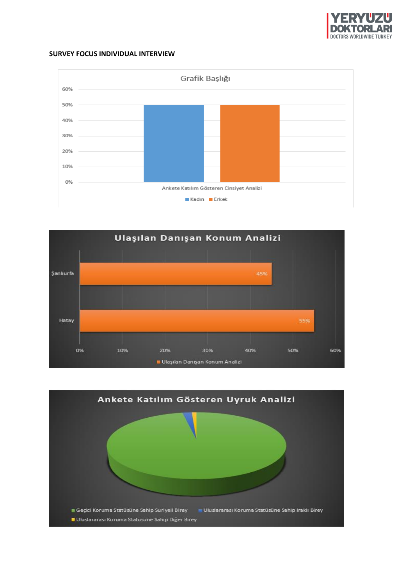

## **SURVEY FOCUS INDIVIDUAL INTERVIEW**





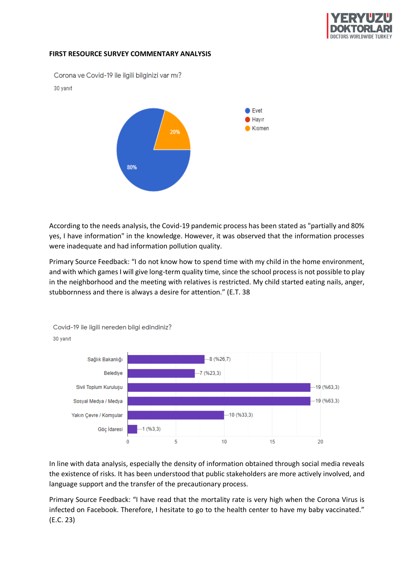

## **FIRST RESOURCE SURVEY COMMENTARY ANALYSIS**

Corona ve Covid-19 ile ilgili bilginizi var mı?

#### 30 yanıt



According to the needs analysis, the Covid-19 pandemic process has been stated as "partially and 80% yes, I have information" in the knowledge. However, it was observed that the information processes were inadequate and had information pollution quality.

Primary Source Feedback: "I do not know how to spend time with my child in the home environment, and with which games I will give long-term quality time, since the school process is not possible to play in the neighborhood and the meeting with relatives is restricted. My child started eating nails, anger, stubbornness and there is always a desire for attention." (E.T. 38



Covid-19 ile ilgili nereden bilgi edindiniz? 30 yanıt

In line with data analysis, especially the density of information obtained through social media reveals the existence of risks. It has been understood that public stakeholders are more actively involved, and language support and the transfer of the precautionary process.

Primary Source Feedback: "I have read that the mortality rate is very high when the Corona Virus is infected on Facebook. Therefore, I hesitate to go to the health center to have my baby vaccinated." (E.C. 23)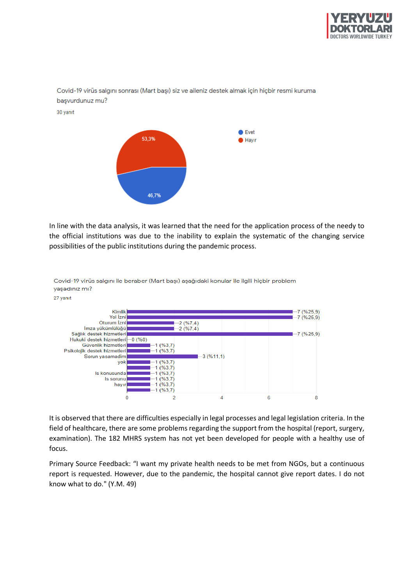





In line with the data analysis, it was learned that the need for the application process of the needy to the official institutions was due to the inability to explain the systematic of the changing service possibilities of the public institutions during the pandemic process.



Covid-19 virüs salgını ile beraber (Mart başı) aşağıdaki konular ile ilgili hiçbir problem yaşadınız mı?

It is observed that there are difficulties especially in legal processes and legal legislation criteria. In the field of healthcare, there are some problems regarding the support from the hospital (report, surgery, examination). The 182 MHRS system has not yet been developed for people with a healthy use of focus.

Primary Source Feedback: "I want my private health needs to be met from NGOs, but a continuous report is requested. However, due to the pandemic, the hospital cannot give report dates. I do not know what to do." (Y.M. 49)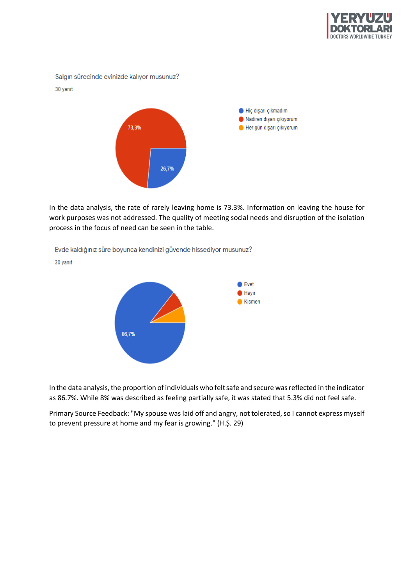

Salgın sürecinde evinizde kalıyor musunuz? 30 yanıt Hiç dışarı çıkmadım Nadiren dışarı çıkıyorum 73,3% Her gün dışarı çıkıyorum 26,7%

In the data analysis, the rate of rarely leaving home is 73.3%. Information on leaving the house for work purposes was not addressed. The quality of meeting social needs and disruption of the isolation process in the focus of need can be seen in the table.

Evde kaldığınız süre boyunca kendinizi güvende hissediyor musunuz?

 $\bullet$  Evet  $\bullet$  Hayır  $\bullet$  Kismen 86.7%

In the data analysis, the proportion of individuals who felt safe and secure was reflected in the indicator as 86.7%. While 8% was described as feeling partially safe, it was stated that 5.3% did not feel safe.

Primary Source Feedback: "My spouse was laid off and angry, not tolerated, so I cannot express myself to prevent pressure at home and my fear is growing." (H.Ş. 29)

30 yanıt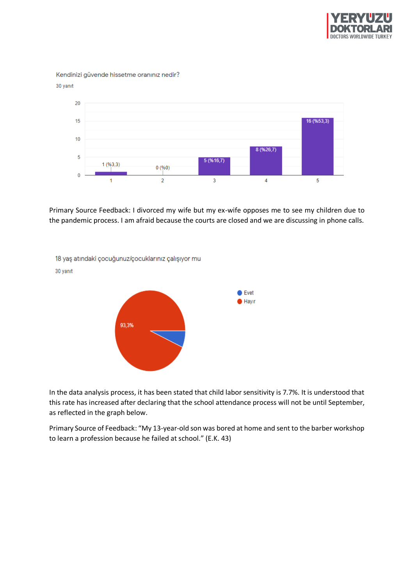

Kendinizi güvende hissetme oranınız nedir?





Primary Source Feedback: I divorced my wife but my ex-wife opposes me to see my children due to the pandemic process. I am afraid because the courts are closed and we are discussing in phone calls.



In the data analysis process, it has been stated that child labor sensitivity is 7.7%. It is understood that this rate has increased after declaring that the school attendance process will not be until September, as reflected in the graph below.

Primary Source of Feedback: "My 13-year-old son was bored at home and sent to the barber workshop to learn a profession because he failed at school." (E.K. 43)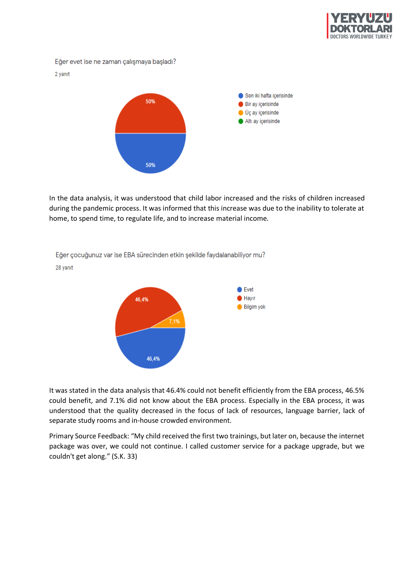

Eğer evet ise ne zaman çalışmaya başladı?

#### 2 yanıt



In the data analysis, it was understood that child labor increased and the risks of children increased during the pandemic process. It was informed that this increase was due to the inability to tolerate at home, to spend time, to regulate life, and to increase material income.



Eğer çocuğunuz var ise EBA sürecinden etkin şekilde faydalanabiliyor mu? 28 yanıt

It was stated in the data analysis that 46.4% could not benefit efficiently from the EBA process, 46.5% could benefit, and 7.1% did not know about the EBA process. Especially in the EBA process, it was understood that the quality decreased in the focus of lack of resources, language barrier, lack of separate study rooms and in-house crowded environment.

Primary Source Feedback: "My child received the first two trainings, but later on, because the internet package was over, we could not continue. I called customer service for a package upgrade, but we couldn't get along." (S.K. 33)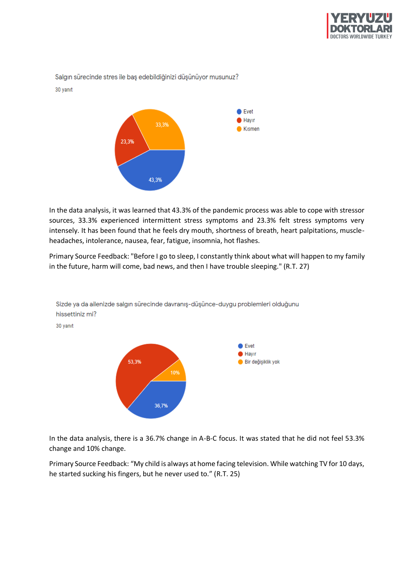



In the data analysis, it was learned that 43.3% of the pandemic process was able to cope with stressor sources, 33.3% experienced intermittent stress symptoms and 23.3% felt stress symptoms very intensely. It has been found that he feels dry mouth, shortness of breath, heart palpitations, muscleheadaches, intolerance, nausea, fear, fatigue, insomnia, hot flashes.

Primary Source Feedback: "Before I go to sleep, I constantly think about what will happen to my family in the future, harm will come, bad news, and then I have trouble sleeping." (R.T. 27)



Sizde ya da ailenizde salgın sürecinde davranış-düşünce-duygu problemleri olduğunu hissettiniz mi?

30 yanıt

In the data analysis, there is a 36.7% change in A-B-C focus. It was stated that he did not feel 53.3% change and 10% change.

Primary Source Feedback: "My child is always at home facing television. While watching TV for 10 days, he started sucking his fingers, but he never used to." (R.T. 25)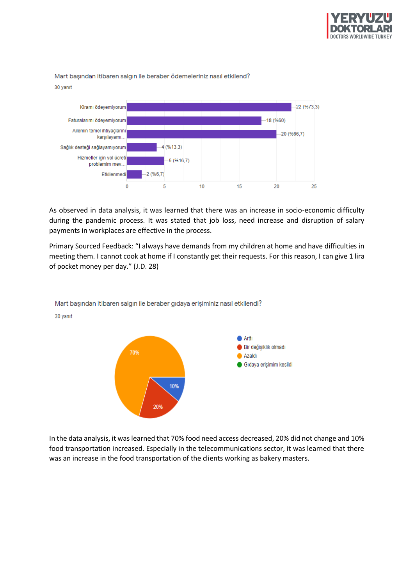

## Mart basından itibaren salgın ile beraber ödemeleriniz nasıl etkilend? 30 yanıt



As observed in data analysis, it was learned that there was an increase in socio-economic difficulty during the pandemic process. It was stated that job loss, need increase and disruption of salary payments in workplaces are effective in the process.

Primary Sourced Feedback: "I always have demands from my children at home and have difficulties in meeting them. I cannot cook at home if I constantly get their requests. For this reason, I can give 1 lira of pocket money per day." (J.D. 28)



Mart başından itibaren salgın ile beraber gıdaya erişiminiz nasıl etkilendi?

30 yanıt

In the data analysis, it was learned that 70% food need access decreased, 20% did not change and 10% food transportation increased. Especially in the telecommunications sector, it was learned that there was an increase in the food transportation of the clients working as bakery masters.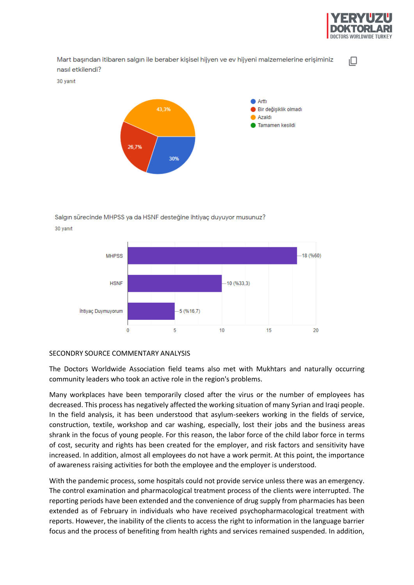

ıО

Mart başından itibaren salgın ile beraber kişisel hijyen ve ev hijyeni malzemelerine erişiminiz nasıl etkilendi?

30 yanıt



# Salgin sürecinde MHPSS va da HSNF desteğine ihtiyac duyuyor musunuz?



## SECONDRY SOURCE COMMENTARY ANALYSIS

The Doctors Worldwide Association field teams also met with Mukhtars and naturally occurring community leaders who took an active role in the region's problems.

Many workplaces have been temporarily closed after the virus or the number of employees has decreased. This process has negatively affected the working situation of many Syrian and Iraqi people. In the field analysis, it has been understood that asylum-seekers working in the fields of service, construction, textile, workshop and car washing, especially, lost their jobs and the business areas shrank in the focus of young people. For this reason, the labor force of the child labor force in terms of cost, security and rights has been created for the employer, and risk factors and sensitivity have increased. In addition, almost all employees do not have a work permit. At this point, the importance of awareness raising activities for both the employee and the employer is understood.

With the pandemic process, some hospitals could not provide service unless there was an emergency. The control examination and pharmacological treatment process of the clients were interrupted. The reporting periods have been extended and the convenience of drug supply from pharmacies has been extended as of February in individuals who have received psychopharmacological treatment with reports. However, the inability of the clients to access the right to information in the language barrier focus and the process of benefiting from health rights and services remained suspended. In addition,

30 vanit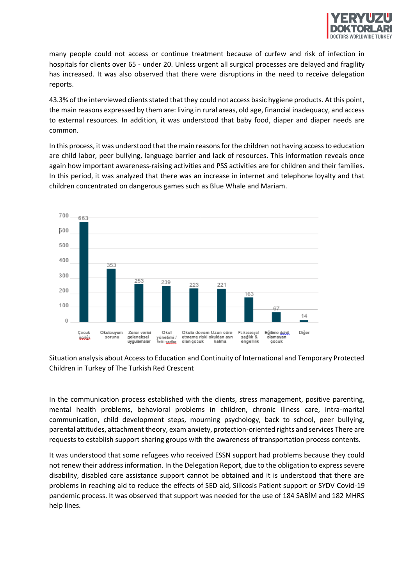

many people could not access or continue treatment because of curfew and risk of infection in hospitals for clients over 65 - under 20. Unless urgent all surgical processes are delayed and fragility has increased. It was also observed that there were disruptions in the need to receive delegation reports.

43.3% of the interviewed clients stated that they could not access basic hygiene products. At this point, the main reasons expressed by them are: living in rural areas, old age, financial inadequacy, and access to external resources. In addition, it was understood that baby food, diaper and diaper needs are common.

In this process, it was understood that the main reasons for the children not having access to education are child labor, peer bullying, language barrier and lack of resources. This information reveals once again how important awareness-raising activities and PSS activities are for children and their families. In this period, it was analyzed that there was an increase in internet and telephone loyalty and that children concentrated on dangerous games such as Blue Whale and Mariam.



Situation analysis about Access to Education and Continuity of International and Temporary Protected Children in Turkey of The Turkish Red Crescent

In the communication process established with the clients, stress management, positive parenting, mental health problems, behavioral problems in children, chronic illness care, intra-marital communication, child development steps, mourning psychology, back to school, peer bullying, parental attitudes, attachment theory, exam anxiety, protection-oriented rights and services There are requests to establish support sharing groups with the awareness of transportation process contents.

It was understood that some refugees who received ESSN support had problems because they could not renew their address information. In the Delegation Report, due to the obligation to express severe disability, disabled care assistance support cannot be obtained and it is understood that there are problems in reaching aid to reduce the effects of SED aid, Silicosis Patient support or SYDV Covid-19 pandemic process. It was observed that support was needed for the use of 184 SABİM and 182 MHRS help lines.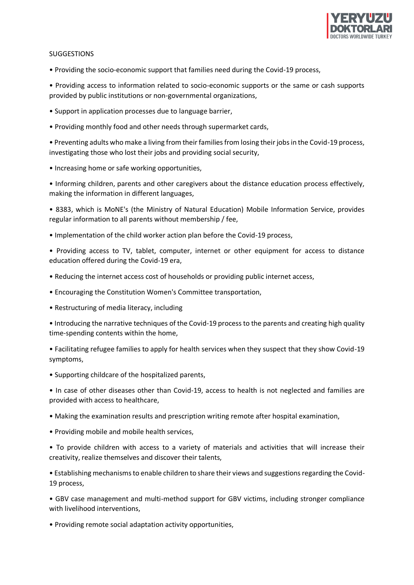

## **SUGGESTIONS**

• Providing the socio-economic support that families need during the Covid-19 process,

• Providing access to information related to socio-economic supports or the same or cash supports provided by public institutions or non-governmental organizations,

- Support in application processes due to language barrier,
- Providing monthly food and other needs through supermarket cards,

• Preventing adults who make a living from their families from losing their jobs in the Covid-19 process, investigating those who lost their jobs and providing social security,

• Increasing home or safe working opportunities,

• Informing children, parents and other caregivers about the distance education process effectively, making the information in different languages,

• 8383, which is MoNE's (the Ministry of Natural Education) Mobile Information Service, provides regular information to all parents without membership / fee,

• Implementation of the child worker action plan before the Covid-19 process,

• Providing access to TV, tablet, computer, internet or other equipment for access to distance education offered during the Covid-19 era,

- Reducing the internet access cost of households or providing public internet access,
- Encouraging the Constitution Women's Committee transportation,
- Restructuring of media literacy, including

• Introducing the narrative techniques of the Covid-19 process to the parents and creating high quality time-spending contents within the home,

• Facilitating refugee families to apply for health services when they suspect that they show Covid-19 symptoms,

• Supporting childcare of the hospitalized parents,

• In case of other diseases other than Covid-19, access to health is not neglected and families are provided with access to healthcare,

• Making the examination results and prescription writing remote after hospital examination,

• Providing mobile and mobile health services,

• To provide children with access to a variety of materials and activities that will increase their creativity, realize themselves and discover their talents,

• Establishing mechanisms to enable children to share their views and suggestions regarding the Covid-19 process,

• GBV case management and multi-method support for GBV victims, including stronger compliance with livelihood interventions,

• Providing remote social adaptation activity opportunities,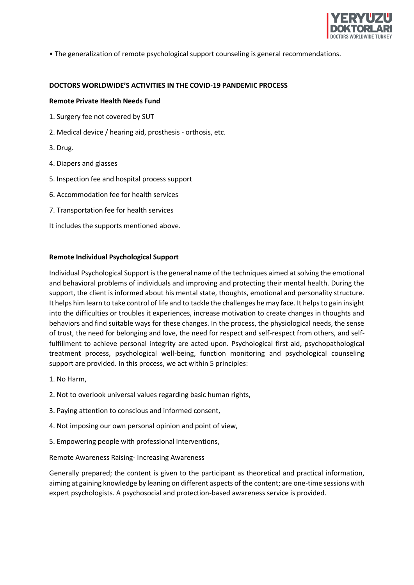

• The generalization of remote psychological support counseling is general recommendations.

#### **DOCTORS WORLDWIDE'S ACTIVITIES IN THE COVID-19 PANDEMIC PROCESS**

#### **Remote Private Health Needs Fund**

- 1. Surgery fee not covered by SUT
- 2. Medical device / hearing aid, prosthesis orthosis, etc.
- 3. Drug.
- 4. Diapers and glasses
- 5. Inspection fee and hospital process support
- 6. Accommodation fee for health services
- 7. Transportation fee for health services
- It includes the supports mentioned above.

#### **Remote Individual Psychological Support**

Individual Psychological Support is the general name of the techniques aimed at solving the emotional and behavioral problems of individuals and improving and protecting their mental health. During the support, the client is informed about his mental state, thoughts, emotional and personality structure. It helps him learn to take control of life and to tackle the challenges he may face. It helps to gain insight into the difficulties or troubles it experiences, increase motivation to create changes in thoughts and behaviors and find suitable ways for these changes. In the process, the physiological needs, the sense of trust, the need for belonging and love, the need for respect and self-respect from others, and selffulfillment to achieve personal integrity are acted upon. Psychological first aid, psychopathological treatment process, psychological well-being, function monitoring and psychological counseling support are provided. In this process, we act within 5 principles:

- 1. No Harm,
- 2. Not to overlook universal values regarding basic human rights,
- 3. Paying attention to conscious and informed consent,
- 4. Not imposing our own personal opinion and point of view,
- 5. Empowering people with professional interventions,

#### Remote Awareness Raising- Increasing Awareness

Generally prepared; the content is given to the participant as theoretical and practical information, aiming at gaining knowledge by leaning on different aspects of the content; are one-time sessions with expert psychologists. A psychosocial and protection-based awareness service is provided.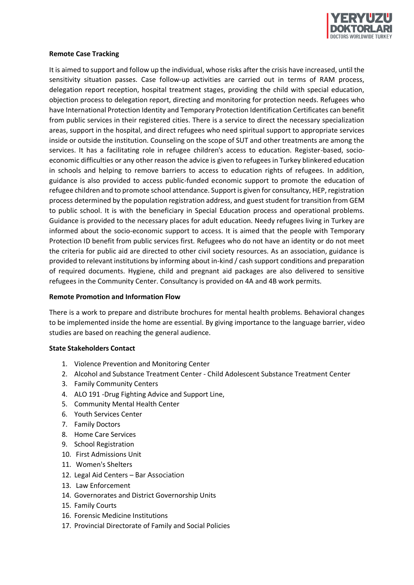

## **Remote Case Tracking**

It is aimed to support and follow up the individual, whose risks after the crisis have increased, until the sensitivity situation passes. Case follow-up activities are carried out in terms of RAM process, delegation report reception, hospital treatment stages, providing the child with special education, objection process to delegation report, directing and monitoring for protection needs. Refugees who have International Protection Identity and Temporary Protection Identification Certificates can benefit from public services in their registered cities. There is a service to direct the necessary specialization areas, support in the hospital, and direct refugees who need spiritual support to appropriate services inside or outside the institution. Counseling on the scope of SUT and other treatments are among the services. It has a facilitating role in refugee children's access to education. Register-based, socioeconomic difficulties or any other reason the advice is given to refugees in Turkey blinkered education in schools and helping to remove barriers to access to education rights of refugees. In addition, guidance is also provided to access public-funded economic support to promote the education of refugee children and to promote school attendance. Support is given for consultancy, HEP, registration process determined by the population registration address, and guest student for transition from GEM to public school. It is with the beneficiary in Special Education process and operational problems. Guidance is provided to the necessary places for adult education. Needy refugees living in Turkey are informed about the socio-economic support to access. It is aimed that the people with Temporary Protection ID benefit from public services first. Refugees who do not have an identity or do not meet the criteria for public aid are directed to other civil society resources. As an association, guidance is provided to relevant institutions by informing about in-kind / cash support conditions and preparation of required documents. Hygiene, child and pregnant aid packages are also delivered to sensitive refugees in the Community Center. Consultancy is provided on 4A and 4B work permits.

#### **Remote Promotion and Information Flow**

There is a work to prepare and distribute brochures for mental health problems. Behavioral changes to be implemented inside the home are essential. By giving importance to the language barrier, video studies are based on reaching the general audience.

#### **State Stakeholders Contact**

- 1. Violence Prevention and Monitoring Center
- 2. Alcohol and Substance Treatment Center Child Adolescent Substance Treatment Center
- 3. Family Community Centers
- 4. ALO 191 -Drug Fighting Advice and Support Line,
- 5. Community Mental Health Center
- 6. Youth Services Center
- 7. Family Doctors
- 8. Home Care Services
- 9. School Registration
- 10. First Admissions Unit
- 11. Women's Shelters
- 12. Legal Aid Centers [Bar Association](https://tureng.com/en/turkish-english/bar%20association)
- 13. Law Enforcement
- 14. Governorates and District Governorship Units
- 15. Family Courts
- 16. Forensic Medicine Institutions
- 17. Provincial Directorate of Family and Social Policies